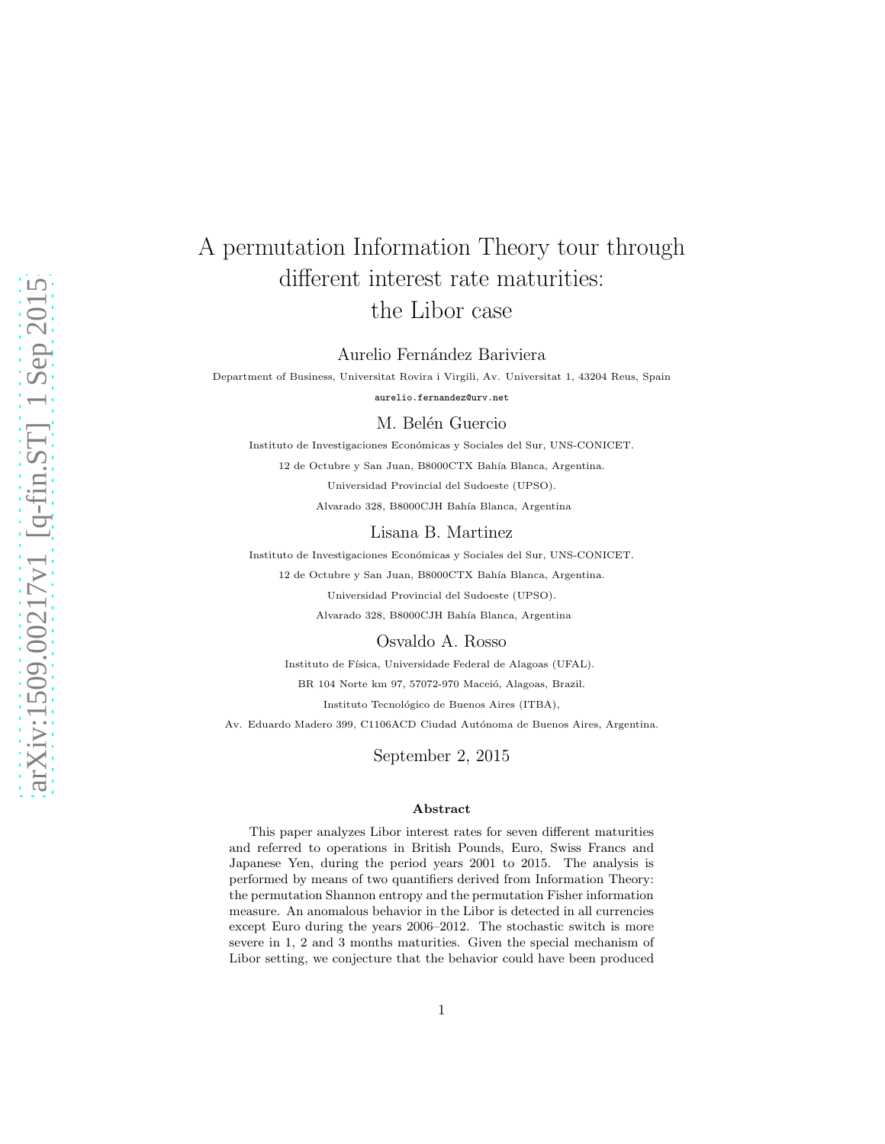# A permutation Information Theory tour through different interest rate maturities: the Libor case

Aurelio Fernández Bariviera

Department of Business, Universitat Rovira i Virgili, Av. Universitat 1, 43204 Reus, Spain

aurelio.fernandez@urv.net

#### M. Belén Guercio

Instituto de Investigaciones Económicas y Sociales del Sur, UNS-CONICET. 12 de Octubre y San Juan, B8000CTX Bahía Blanca, Argentina. Universidad Provincial del Sudoeste (UPSO). Alvarado 328, B8000CJH Bahía Blanca, Argentina

#### Lisana B. Martinez

Instituto de Investigaciones Económicas y Sociales del Sur, UNS-CONICET.

12 de Octubre y San Juan, B8000CTX Bahía Blanca, Argentina.

Universidad Provincial del Sudoeste (UPSO).

Alvarado 328, B8000CJH Bahía Blanca, Argentina

## Osvaldo A. Rosso

Instituto de Física, Universidade Federal de Alagoas (UFAL).

BR 104 Norte km 97, 57072-970 Maceió, Alagoas, Brazil.

Instituto Tecnológico de Buenos Aires (ITBA),

Av. Eduardo Madero 399, C1106ACD Ciudad Autónoma de Buenos Aires, Argentina.

September 2, 2015

#### Abstract

This paper analyzes Libor interest rates for seven different maturities and referred to operations in British Pounds, Euro, Swiss Francs and Japanese Yen, during the period years 2001 to 2015. The analysis is performed by means of two quantifiers derived from Information Theory: the permutation Shannon entropy and the permutation Fisher information measure. An anomalous behavior in the Libor is detected in all currencies except Euro during the years 2006–2012. The stochastic switch is more severe in 1, 2 and 3 months maturities. Given the special mechanism of Libor setting, we conjecture that the behavior could have been produced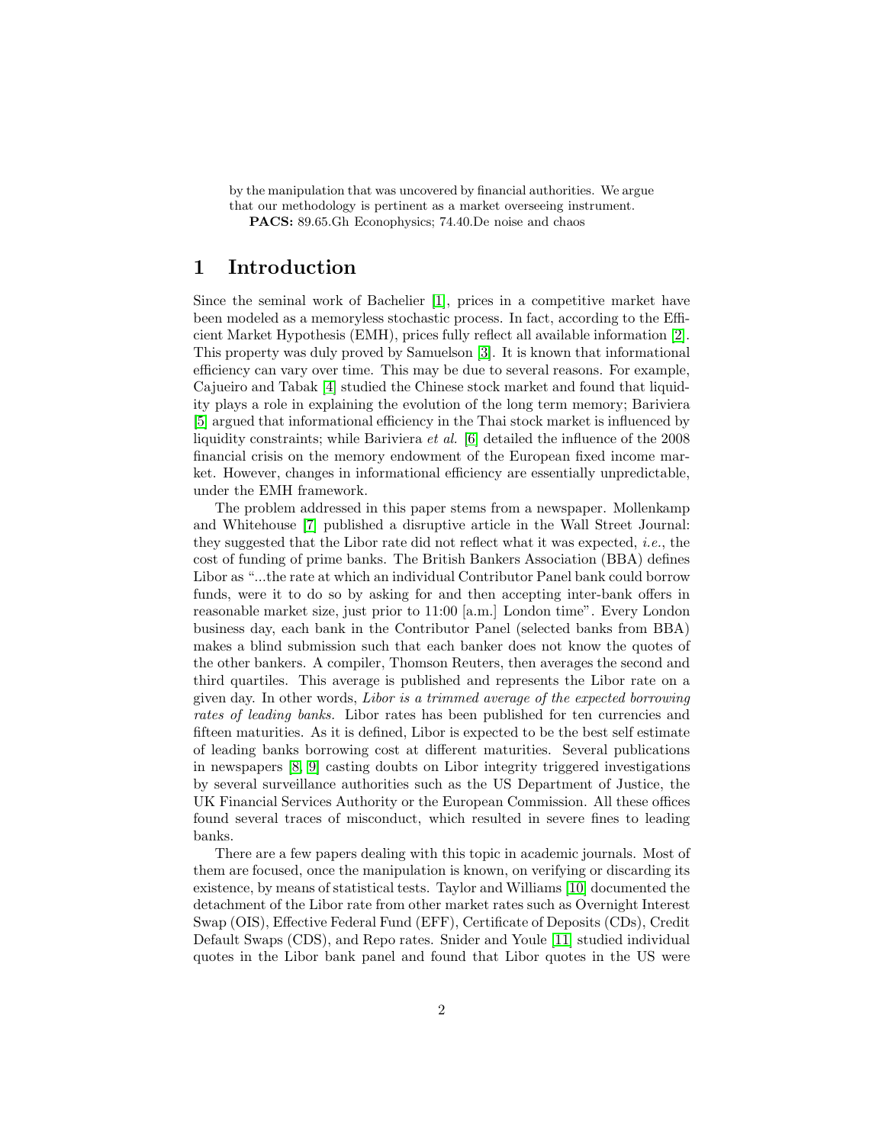by the manipulation that was uncovered by financial authorities. We argue that our methodology is pertinent as a market overseeing instrument.

PACS: 89.65.Gh Econophysics; 74.40.De noise and chaos

## 1 Introduction

Since the seminal work of Bachelier [\[1\]](#page-12-0), prices in a competitive market have been modeled as a memoryless stochastic process. In fact, according to the Efficient Market Hypothesis (EMH), prices fully reflect all available information [\[2\]](#page-12-1). This property was duly proved by Samuelson [\[3\]](#page-12-2). It is known that informational efficiency can vary over time. This may be due to several reasons. For example, Cajueiro and Tabak [\[4\]](#page-12-3) studied the Chinese stock market and found that liquidity plays a role in explaining the evolution of the long term memory; Bariviera [\[5\]](#page-12-4) argued that informational efficiency in the Thai stock market is influenced by liquidity constraints; while Bariviera *et al.* [\[6\]](#page-13-0) detailed the influence of the 2008 financial crisis on the memory endowment of the European fixed income market. However, changes in informational efficiency are essentially unpredictable, under the EMH framework.

The problem addressed in this paper stems from a newspaper. Mollenkamp and Whitehouse [\[7\]](#page-13-1) published a disruptive article in the Wall Street Journal: they suggested that the Libor rate did not reflect what it was expected, i.e., the cost of funding of prime banks. The British Bankers Association (BBA) defines Libor as "...the rate at which an individual Contributor Panel bank could borrow funds, were it to do so by asking for and then accepting inter-bank offers in reasonable market size, just prior to 11:00 [a.m.] London time". Every London business day, each bank in the Contributor Panel (selected banks from BBA) makes a blind submission such that each banker does not know the quotes of the other bankers. A compiler, Thomson Reuters, then averages the second and third quartiles. This average is published and represents the Libor rate on a given day. In other words, Libor is a trimmed average of the expected borrowing rates of leading banks. Libor rates has been published for ten currencies and fifteen maturities. As it is defined, Libor is expected to be the best self estimate of leading banks borrowing cost at different maturities. Several publications in newspapers [\[8,](#page-13-2) [9\]](#page-13-3) casting doubts on Libor integrity triggered investigations by several surveillance authorities such as the US Department of Justice, the UK Financial Services Authority or the European Commission. All these offices found several traces of misconduct, which resulted in severe fines to leading banks.

There are a few papers dealing with this topic in academic journals. Most of them are focused, once the manipulation is known, on verifying or discarding its existence, by means of statistical tests. Taylor and Williams [\[10\]](#page-13-4) documented the detachment of the Libor rate from other market rates such as Overnight Interest Swap (OIS), Effective Federal Fund (EFF), Certificate of Deposits (CDs), Credit Default Swaps (CDS), and Repo rates. Snider and Youle [\[11\]](#page-13-5) studied individual quotes in the Libor bank panel and found that Libor quotes in the US were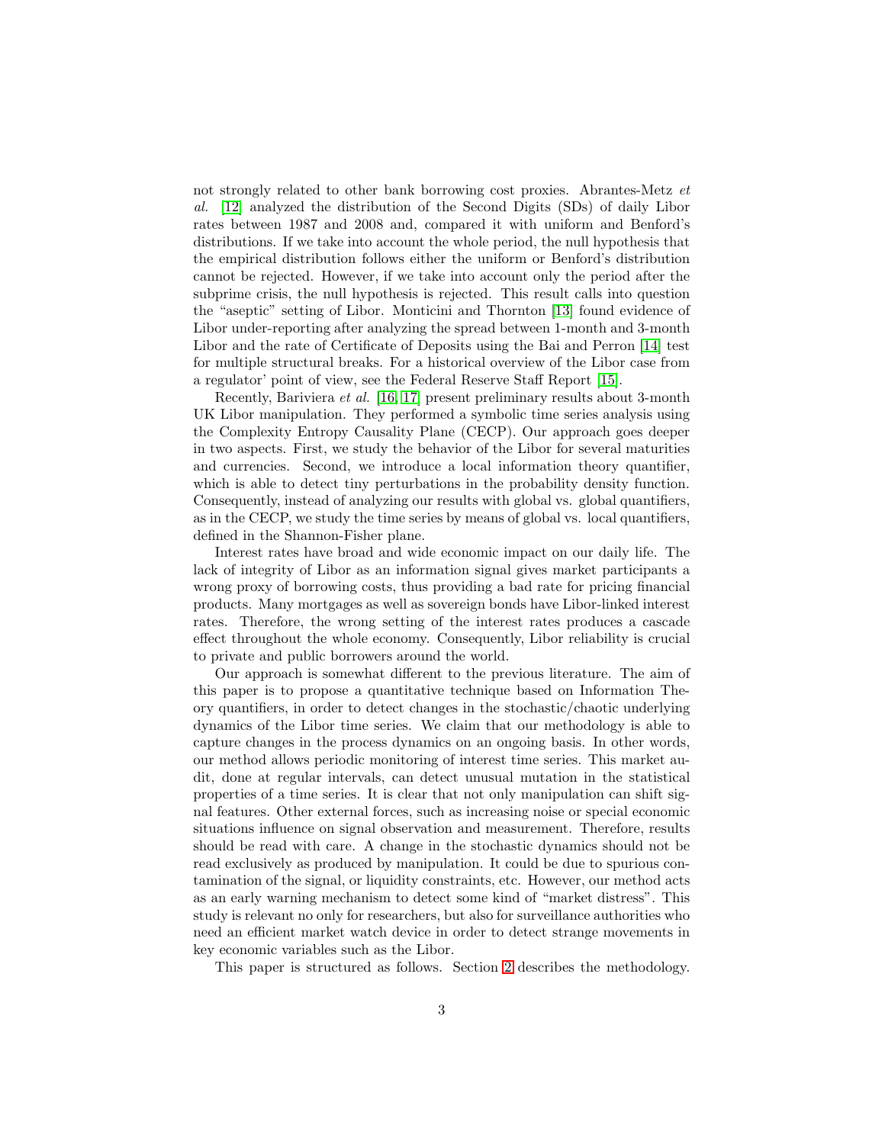not strongly related to other bank borrowing cost proxies. Abrantes-Metz et al. [\[12\]](#page-13-6) analyzed the distribution of the Second Digits (SDs) of daily Libor rates between 1987 and 2008 and, compared it with uniform and Benford's distributions. If we take into account the whole period, the null hypothesis that the empirical distribution follows either the uniform or Benford's distribution cannot be rejected. However, if we take into account only the period after the subprime crisis, the null hypothesis is rejected. This result calls into question the "aseptic" setting of Libor. Monticini and Thornton [\[13\]](#page-13-7) found evidence of Libor under-reporting after analyzing the spread between 1-month and 3-month Libor and the rate of Certificate of Deposits using the Bai and Perron [\[14\]](#page-13-8) test for multiple structural breaks. For a historical overview of the Libor case from a regulator' point of view, see the Federal Reserve Staff Report [\[15\]](#page-13-9).

Recently, Bariviera et al. [\[16,](#page-13-10) [17\]](#page-13-11) present preliminary results about 3-month UK Libor manipulation. They performed a symbolic time series analysis using the Complexity Entropy Causality Plane (CECP). Our approach goes deeper in two aspects. First, we study the behavior of the Libor for several maturities and currencies. Second, we introduce a local information theory quantifier, which is able to detect tiny perturbations in the probability density function. Consequently, instead of analyzing our results with global vs. global quantifiers, as in the CECP, we study the time series by means of global vs. local quantifiers, defined in the Shannon-Fisher plane.

Interest rates have broad and wide economic impact on our daily life. The lack of integrity of Libor as an information signal gives market participants a wrong proxy of borrowing costs, thus providing a bad rate for pricing financial products. Many mortgages as well as sovereign bonds have Libor-linked interest rates. Therefore, the wrong setting of the interest rates produces a cascade effect throughout the whole economy. Consequently, Libor reliability is crucial to private and public borrowers around the world.

Our approach is somewhat different to the previous literature. The aim of this paper is to propose a quantitative technique based on Information Theory quantifiers, in order to detect changes in the stochastic/chaotic underlying dynamics of the Libor time series. We claim that our methodology is able to capture changes in the process dynamics on an ongoing basis. In other words, our method allows periodic monitoring of interest time series. This market audit, done at regular intervals, can detect unusual mutation in the statistical properties of a time series. It is clear that not only manipulation can shift signal features. Other external forces, such as increasing noise or special economic situations influence on signal observation and measurement. Therefore, results should be read with care. A change in the stochastic dynamics should not be read exclusively as produced by manipulation. It could be due to spurious contamination of the signal, or liquidity constraints, etc. However, our method acts as an early warning mechanism to detect some kind of "market distress". This study is relevant no only for researchers, but also for surveillance authorities who need an efficient market watch device in order to detect strange movements in key economic variables such as the Libor.

This paper is structured as follows. Section [2](#page-3-0) describes the methodology.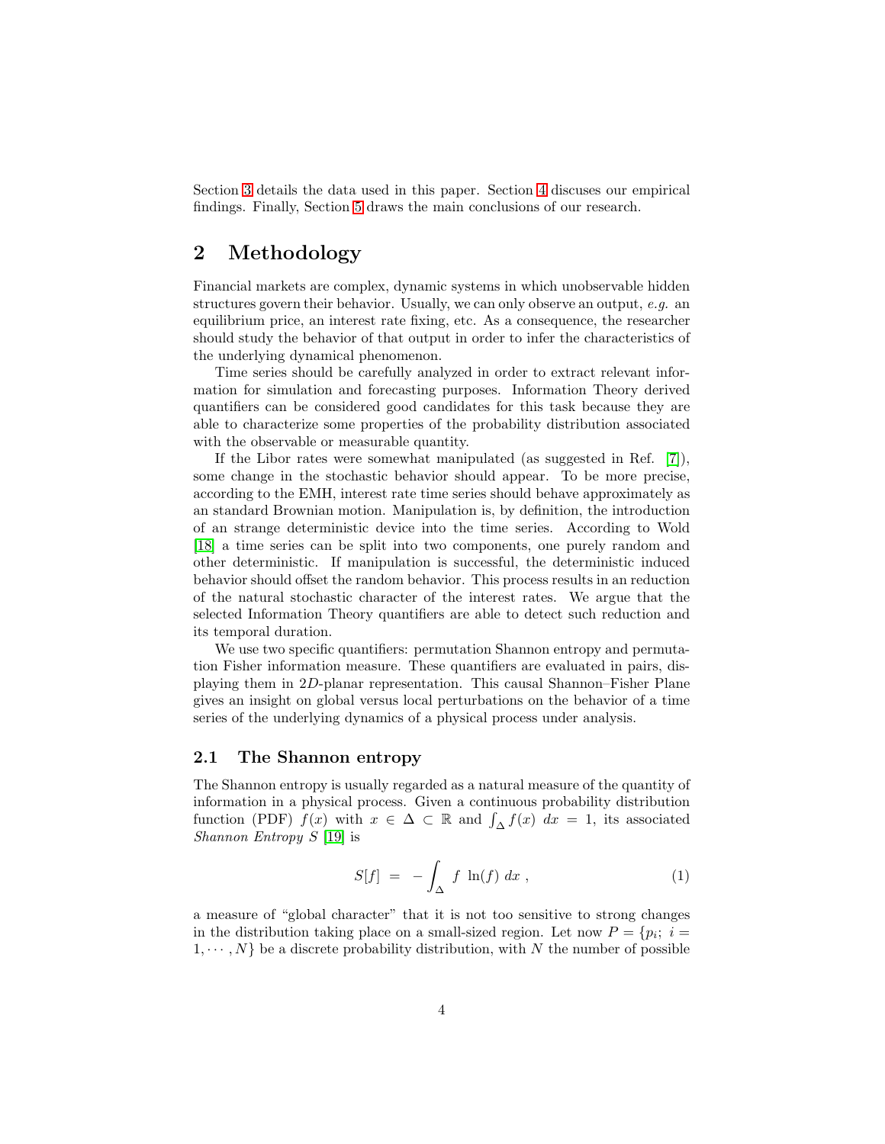Section [3](#page-8-0) details the data used in this paper. Section [4](#page-8-1) discuses our empirical findings. Finally, Section [5](#page-12-5) draws the main conclusions of our research.

# <span id="page-3-0"></span>2 Methodology

Financial markets are complex, dynamic systems in which unobservable hidden structures govern their behavior. Usually, we can only observe an output, e.g. an equilibrium price, an interest rate fixing, etc. As a consequence, the researcher should study the behavior of that output in order to infer the characteristics of the underlying dynamical phenomenon.

Time series should be carefully analyzed in order to extract relevant information for simulation and forecasting purposes. Information Theory derived quantifiers can be considered good candidates for this task because they are able to characterize some properties of the probability distribution associated with the observable or measurable quantity.

If the Libor rates were somewhat manipulated (as suggested in Ref. [\[7\]](#page-13-1)), some change in the stochastic behavior should appear. To be more precise, according to the EMH, interest rate time series should behave approximately as an standard Brownian motion. Manipulation is, by definition, the introduction of an strange deterministic device into the time series. According to Wold [\[18\]](#page-13-12) a time series can be split into two components, one purely random and other deterministic. If manipulation is successful, the deterministic induced behavior should offset the random behavior. This process results in an reduction of the natural stochastic character of the interest rates. We argue that the selected Information Theory quantifiers are able to detect such reduction and its temporal duration.

We use two specific quantifiers: permutation Shannon entropy and permutation Fisher information measure. These quantifiers are evaluated in pairs, displaying them in 2D-planar representation. This causal Shannon–Fisher Plane gives an insight on global versus local perturbations on the behavior of a time series of the underlying dynamics of a physical process under analysis.

### 2.1 The Shannon entropy

The Shannon entropy is usually regarded as a natural measure of the quantity of information in a physical process. Given a continuous probability distribution function (PDF)  $f(x)$  with  $x \in \Delta \subset \mathbb{R}$  and  $\int_{\Delta} f(x) dx = 1$ , its associated Shannon Entropy S [\[19\]](#page-13-13) is

$$
S[f] = -\int_{\Delta} f \ln(f) dx , \qquad (1)
$$

a measure of "global character" that it is not too sensitive to strong changes in the distribution taking place on a small-sized region. Let now  $P = \{p_i; i =$  $1, \dots, N$  be a discrete probability distribution, with N the number of possible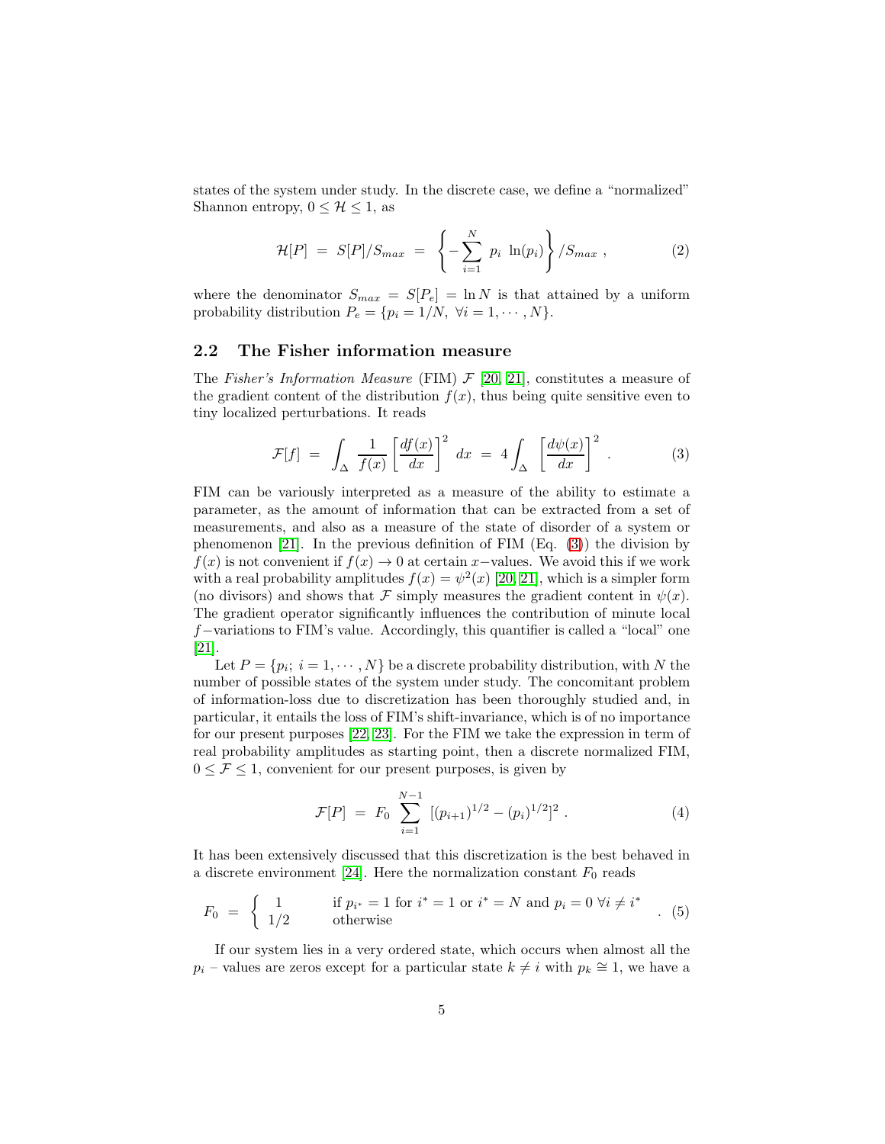states of the system under study. In the discrete case, we define a "normalized" Shannon entropy,  $0 \leq \mathcal{H} \leq 1$ , as

$$
\mathcal{H}[P] \ = \ S[P]/S_{max} \ = \ \left\{ -\sum_{i=1}^{N} \ p_i \ \ln(p_i) \right\} / S_{max} \ , \tag{2}
$$

where the denominator  $S_{max} = S[P_e] = \ln N$  is that attained by a uniform probability distribution  $P_e = \{p_i = 1/N, \ \forall i = 1, \cdots, N\}.$ 

#### 2.2 The Fisher information measure

The Fisher's Information Measure (FIM)  $\mathcal{F}$  [\[20,](#page-14-0) [21\]](#page-14-1), constitutes a measure of the gradient content of the distribution  $f(x)$ , thus being quite sensitive even to tiny localized perturbations. It reads

<span id="page-4-0"></span>
$$
\mathcal{F}[f] = \int_{\Delta} \frac{1}{f(x)} \left[ \frac{df(x)}{dx} \right]^2 dx = 4 \int_{\Delta} \left[ \frac{d\psi(x)}{dx} \right]^2 . \tag{3}
$$

FIM can be variously interpreted as a measure of the ability to estimate a parameter, as the amount of information that can be extracted from a set of measurements, and also as a measure of the state of disorder of a system or phenomenon [\[21\]](#page-14-1). In the previous definition of FIM  $(Eq. (3))$  $(Eq. (3))$  $(Eq. (3))$  the division by  $f(x)$  is not convenient if  $f(x) \to 0$  at certain x-values. We avoid this if we work with a real probability amplitudes  $f(x) = \psi^2(x)$  [\[20,](#page-14-0) [21\]](#page-14-1), which is a simpler form (no divisors) and shows that  $\mathcal F$  simply measures the gradient content in  $\psi(x)$ . The gradient operator significantly influences the contribution of minute local f−variations to FIM's value. Accordingly, this quantifier is called a "local" one [\[21\]](#page-14-1).

Let  $P = \{p_i; i = 1, \cdots, N\}$  be a discrete probability distribution, with N the number of possible states of the system under study. The concomitant problem of information-loss due to discretization has been thoroughly studied and, in particular, it entails the loss of FIM's shift-invariance, which is of no importance for our present purposes [\[22,](#page-14-2) [23\]](#page-14-3). For the FIM we take the expression in term of real probability amplitudes as starting point, then a discrete normalized FIM,  $0 \leq \mathcal{F} \leq 1$ , convenient for our present purposes, is given by

<span id="page-4-1"></span>
$$
\mathcal{F}[P] = F_0 \sum_{i=1}^{N-1} [(p_{i+1})^{1/2} - (p_i)^{1/2}]^2.
$$
 (4)

It has been extensively discussed that this discretization is the best behaved in a discrete environment [\[24\]](#page-14-4). Here the normalization constant  $F_0$  reads

$$
F_0 = \begin{cases} 1 & \text{if } p_{i^*} = 1 \text{ for } i^* = 1 \text{ or } i^* = N \text{ and } p_i = 0 \; \forall i \neq i^* \\ 1/2 & \text{otherwise} \end{cases} \tag{5}
$$

If our system lies in a very ordered state, which occurs when almost all the  $p_i$  – values are zeros except for a particular state  $k \neq i$  with  $p_k \cong 1$ , we have a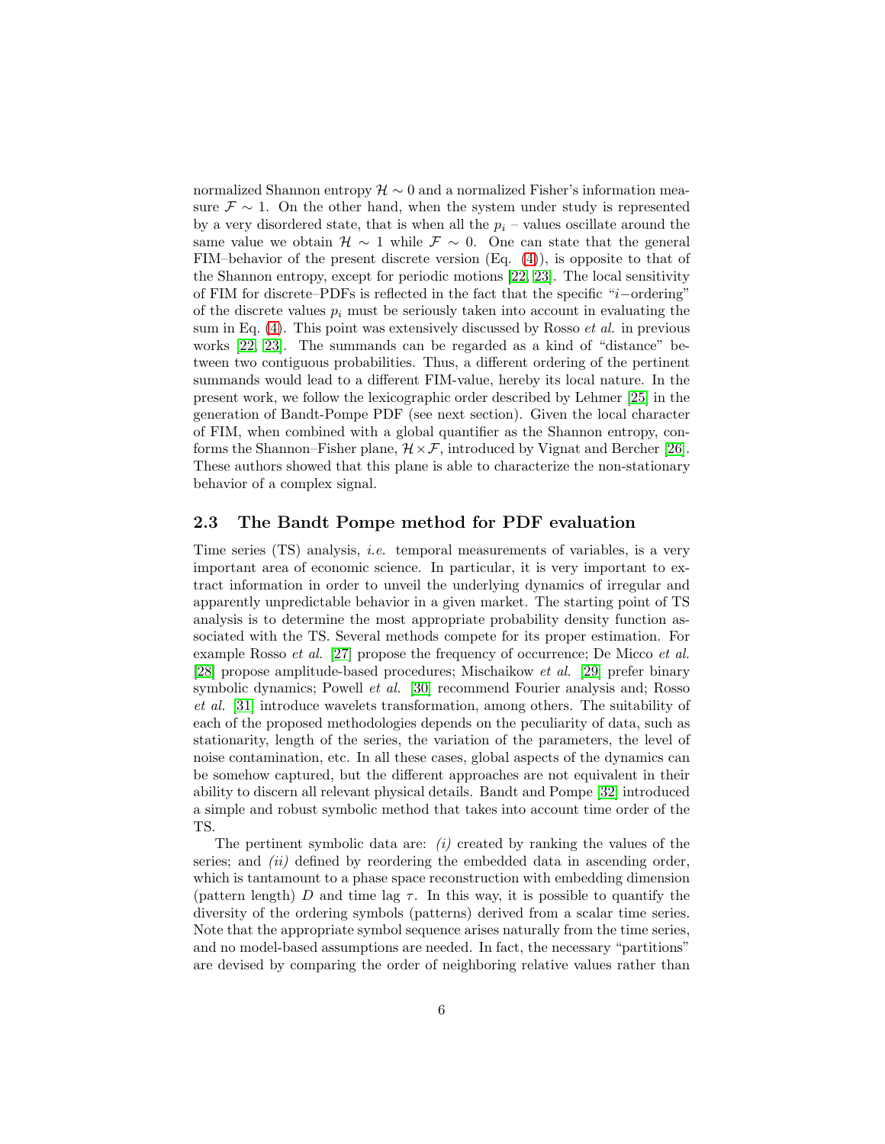normalized Shannon entropy  $H \sim 0$  and a normalized Fisher's information measure  $\mathcal{F} \sim 1$ . On the other hand, when the system under study is represented by a very disordered state, that is when all the  $p_i$  – values oscillate around the same value we obtain  $H \sim 1$  while  $\mathcal{F} \sim 0$ . One can state that the general FIM–behavior of the present discrete version (Eq. [\(4\)](#page-4-1)), is opposite to that of the Shannon entropy, except for periodic motions [\[22,](#page-14-2) [23\]](#page-14-3). The local sensitivity of FIM for discrete–PDFs is reflected in the fact that the specific "i−ordering" of the discrete values  $p_i$  must be seriously taken into account in evaluating the sum in Eq.  $(4)$ . This point was extensively discussed by Rosso *et al.* in previous works [\[22,](#page-14-2) [23\]](#page-14-3). The summands can be regarded as a kind of "distance" between two contiguous probabilities. Thus, a different ordering of the pertinent summands would lead to a different FIM-value, hereby its local nature. In the present work, we follow the lexicographic order described by Lehmer [\[25\]](#page-14-5) in the generation of Bandt-Pompe PDF (see next section). Given the local character of FIM, when combined with a global quantifier as the Shannon entropy, conforms the Shannon–Fisher plane,  $\mathcal{H} \times \mathcal{F}$ , introduced by Vignat and Bercher [\[26\]](#page-14-6). These authors showed that this plane is able to characterize the non-stationary behavior of a complex signal.

### 2.3 The Bandt Pompe method for PDF evaluation

Time series  $(TS)$  analysis, *i.e.* temporal measurements of variables, is a very important area of economic science. In particular, it is very important to extract information in order to unveil the underlying dynamics of irregular and apparently unpredictable behavior in a given market. The starting point of TS analysis is to determine the most appropriate probability density function associated with the TS. Several methods compete for its proper estimation. For example Rosso et al. [\[27\]](#page-14-7) propose the frequency of occurrence; De Micco et al. [\[28\]](#page-14-8) propose amplitude-based procedures; Mischaikow et al. [\[29\]](#page-14-9) prefer binary symbolic dynamics; Powell *et al.* [\[30\]](#page-14-10) recommend Fourier analysis and; Rosso et al. [\[31\]](#page-14-11) introduce wavelets transformation, among others. The suitability of each of the proposed methodologies depends on the peculiarity of data, such as stationarity, length of the series, the variation of the parameters, the level of noise contamination, etc. In all these cases, global aspects of the dynamics can be somehow captured, but the different approaches are not equivalent in their ability to discern all relevant physical details. Bandt and Pompe [\[32\]](#page-14-12) introduced a simple and robust symbolic method that takes into account time order of the TS.

The pertinent symbolic data are:  $(i)$  created by ranking the values of the series; and  $(ii)$  defined by reordering the embedded data in ascending order, which is tantamount to a phase space reconstruction with embedding dimension (pattern length) D and time lag  $\tau$ . In this way, it is possible to quantify the diversity of the ordering symbols (patterns) derived from a scalar time series. Note that the appropriate symbol sequence arises naturally from the time series, and no model-based assumptions are needed. In fact, the necessary "partitions" are devised by comparing the order of neighboring relative values rather than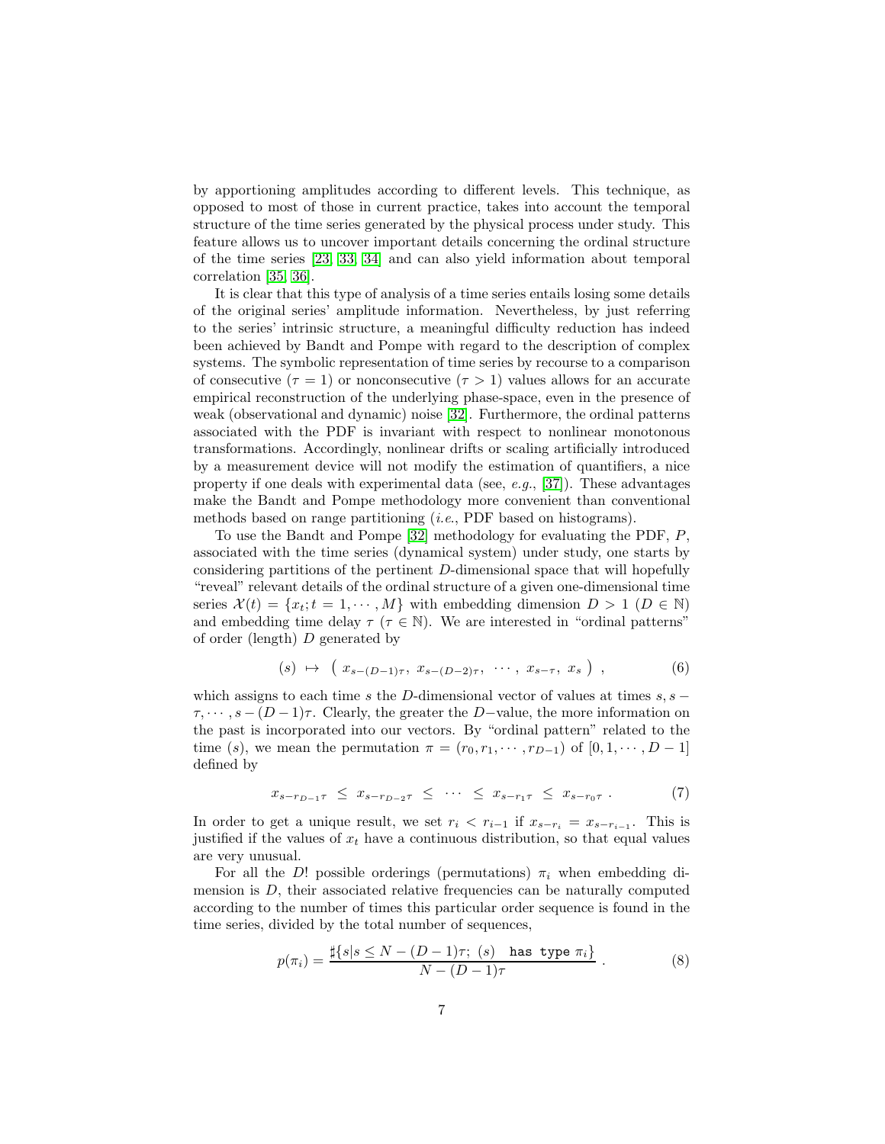by apportioning amplitudes according to different levels. This technique, as opposed to most of those in current practice, takes into account the temporal structure of the time series generated by the physical process under study. This feature allows us to uncover important details concerning the ordinal structure of the time series [\[23,](#page-14-3) [33,](#page-14-13) [34\]](#page-15-0) and can also yield information about temporal correlation [\[35,](#page-15-1) [36\]](#page-15-2).

It is clear that this type of analysis of a time series entails losing some details of the original series' amplitude information. Nevertheless, by just referring to the series' intrinsic structure, a meaningful difficulty reduction has indeed been achieved by Bandt and Pompe with regard to the description of complex systems. The symbolic representation of time series by recourse to a comparison of consecutive  $(\tau = 1)$  or nonconsecutive  $(\tau > 1)$  values allows for an accurate empirical reconstruction of the underlying phase-space, even in the presence of weak (observational and dynamic) noise [\[32\]](#page-14-12). Furthermore, the ordinal patterns associated with the PDF is invariant with respect to nonlinear monotonous transformations. Accordingly, nonlinear drifts or scaling artificially introduced by a measurement device will not modify the estimation of quantifiers, a nice property if one deals with experimental data (see,  $e.g., [37]$  $e.g., [37]$ ). These advantages make the Bandt and Pompe methodology more convenient than conventional methods based on range partitioning (i.e., PDF based on histograms).

To use the Bandt and Pompe [\[32\]](#page-14-12) methodology for evaluating the PDF, P, associated with the time series (dynamical system) under study, one starts by considering partitions of the pertinent D-dimensional space that will hopefully "reveal" relevant details of the ordinal structure of a given one-dimensional time series  $\mathcal{X}(t) = \{x_t; t = 1, \dots, M\}$  with embedding dimension  $D > 1$   $(D \in \mathbb{N})$ and embedding time delay  $\tau$  ( $\tau \in \mathbb{N}$ ). We are interested in "ordinal patterns" of order (length) D generated by

$$
(s) \mapsto (x_{s-(D-1)\tau}, x_{s-(D-2)\tau}, \cdots, x_{s-\tau}, x_s), \qquad (6)
$$

which assigns to each time s the D-dimensional vector of values at times  $s, s \tau, \dots, s - (D-1)\tau$ . Clearly, the greater the D-value, the more information on the past is incorporated into our vectors. By "ordinal pattern" related to the time (s), we mean the permutation  $\pi = (r_0, r_1, \dots, r_{D-1})$  of  $[0, 1, \dots, D-1]$ defined by

$$
x_{s-r_{D-1}\tau} \leq x_{s-r_{D-2}\tau} \leq \cdots \leq x_{s-r_1\tau} \leq x_{s-r_0\tau} . \tag{7}
$$

In order to get a unique result, we set  $r_i < r_{i-1}$  if  $x_{s-r_i} = x_{s-r_{i-1}}$ . This is justified if the values of  $x_t$  have a continuous distribution, so that equal values are very unusual.

For all the D! possible orderings (permutations)  $\pi_i$  when embedding dimension is  $D$ , their associated relative frequencies can be naturally computed according to the number of times this particular order sequence is found in the time series, divided by the total number of sequences,

$$
p(\pi_i) = \frac{\sharp\{s|s \le N - (D-1)\tau; (s) \text{ has type } \pi_i\}}{N - (D-1)\tau}.
$$
 (8)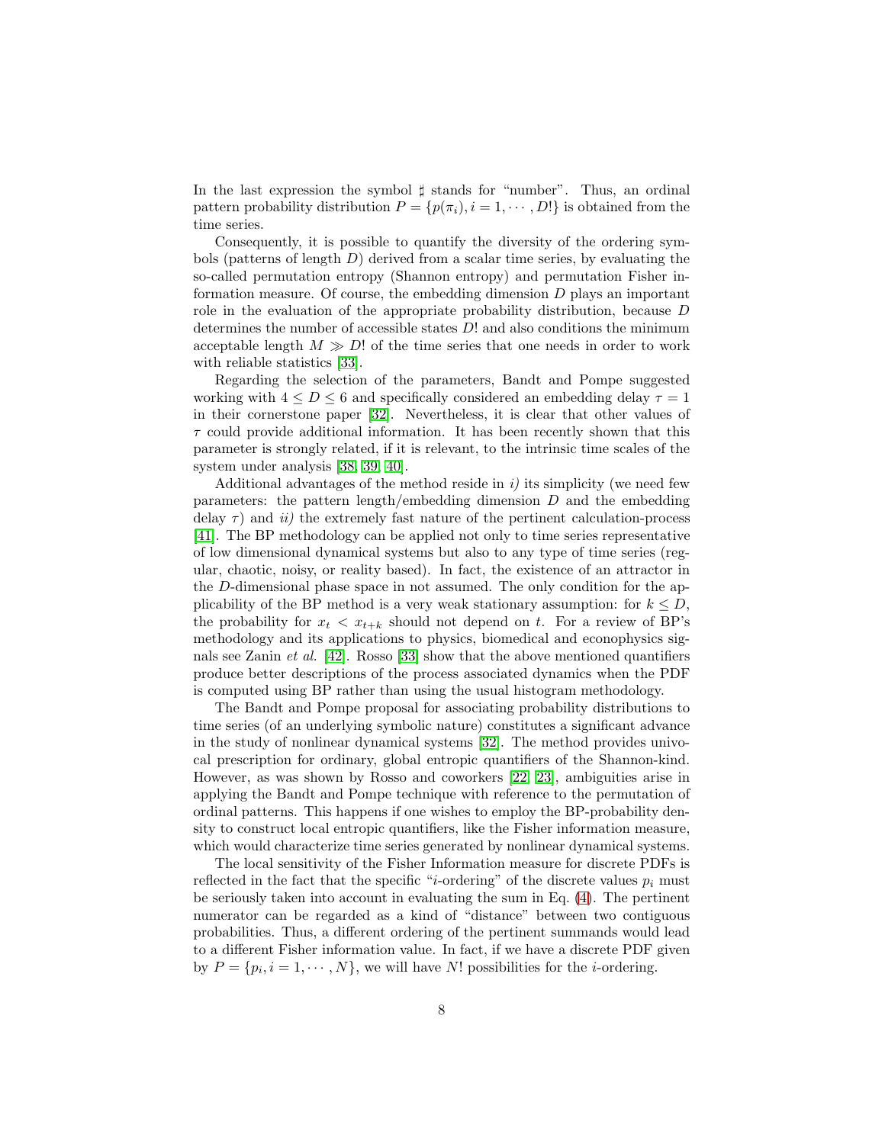In the last expression the symbol ♯ stands for "number". Thus, an ordinal pattern probability distribution  $P = \{p(\pi_i), i = 1, \dots, D!\}$  is obtained from the time series.

Consequently, it is possible to quantify the diversity of the ordering symbols (patterns of length  $D$ ) derived from a scalar time series, by evaluating the so-called permutation entropy (Shannon entropy) and permutation Fisher information measure. Of course, the embedding dimension  $D$  plays an important role in the evaluation of the appropriate probability distribution, because D determines the number of accessible states D! and also conditions the minimum acceptable length  $M \gg D!$  of the time series that one needs in order to work with reliable statistics [\[33\]](#page-14-13).

Regarding the selection of the parameters, Bandt and Pompe suggested working with  $4 \leq D \leq 6$  and specifically considered an embedding delay  $\tau = 1$ in their cornerstone paper [\[32\]](#page-14-12). Nevertheless, it is clear that other values of  $\tau$  could provide additional information. It has been recently shown that this parameter is strongly related, if it is relevant, to the intrinsic time scales of the system under analysis [\[38,](#page-15-4) [39,](#page-15-5) [40\]](#page-15-6).

Additional advantages of the method reside in  $i$ ) its simplicity (we need few parameters: the pattern length/embedding dimension  $D$  and the embedding delay  $\tau$ ) and *ii*) the extremely fast nature of the pertinent calculation-process [\[41\]](#page-15-7). The BP methodology can be applied not only to time series representative of low dimensional dynamical systems but also to any type of time series (regular, chaotic, noisy, or reality based). In fact, the existence of an attractor in the D-dimensional phase space in not assumed. The only condition for the applicability of the BP method is a very weak stationary assumption: for  $k \leq D$ , the probability for  $x_t < x_{t+k}$  should not depend on t. For a review of BP's methodology and its applications to physics, biomedical and econophysics signals see Zanin et al. [\[42\]](#page-15-8). Rosso [\[33\]](#page-14-13) show that the above mentioned quantifiers produce better descriptions of the process associated dynamics when the PDF is computed using BP rather than using the usual histogram methodology.

The Bandt and Pompe proposal for associating probability distributions to time series (of an underlying symbolic nature) constitutes a significant advance in the study of nonlinear dynamical systems [\[32\]](#page-14-12). The method provides univocal prescription for ordinary, global entropic quantifiers of the Shannon-kind. However, as was shown by Rosso and coworkers [\[22,](#page-14-2) [23\]](#page-14-3), ambiguities arise in applying the Bandt and Pompe technique with reference to the permutation of ordinal patterns. This happens if one wishes to employ the BP-probability density to construct local entropic quantifiers, like the Fisher information measure, which would characterize time series generated by nonlinear dynamical systems.

The local sensitivity of the Fisher Information measure for discrete PDFs is reflected in the fact that the specific "*i*-ordering" of the discrete values  $p_i$  must be seriously taken into account in evaluating the sum in Eq. [\(4\)](#page-4-1). The pertinent numerator can be regarded as a kind of "distance" between two contiguous probabilities. Thus, a different ordering of the pertinent summands would lead to a different Fisher information value. In fact, if we have a discrete PDF given by  $P = \{p_i, i = 1, \cdots, N\}$ , we will have N! possibilities for the *i*-ordering.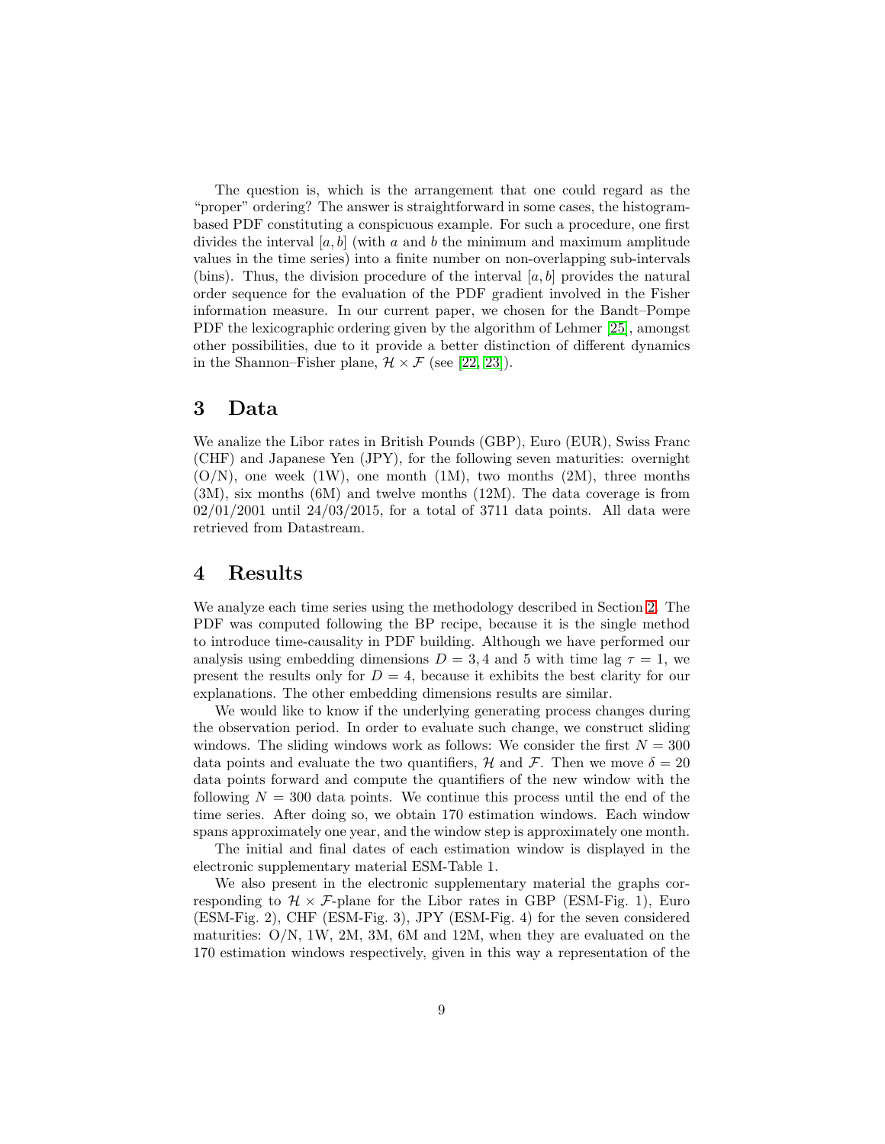The question is, which is the arrangement that one could regard as the "proper" ordering? The answer is straightforward in some cases, the histogrambased PDF constituting a conspicuous example. For such a procedure, one first divides the interval  $[a, b]$  (with a and b the minimum and maximum amplitude values in the time series) into a finite number on non-overlapping sub-intervals (bins). Thus, the division procedure of the interval  $[a, b]$  provides the natural order sequence for the evaluation of the PDF gradient involved in the Fisher information measure. In our current paper, we chosen for the Bandt–Pompe PDF the lexicographic ordering given by the algorithm of Lehmer [\[25\]](#page-14-5), amongst other possibilities, due to it provide a better distinction of different dynamics in the Shannon–Fisher plane,  $\mathcal{H} \times \mathcal{F}$  (see [\[22,](#page-14-2) [23\]](#page-14-3)).

## <span id="page-8-0"></span>3 Data

We analize the Libor rates in British Pounds (GBP), Euro (EUR), Swiss Franc (CHF) and Japanese Yen (JPY), for the following seven maturities: overnight  $(O/N)$ , one week  $(1W)$ , one month  $(1M)$ , two months  $(2M)$ , three months (3M), six months (6M) and twelve months (12M). The data coverage is from  $02/01/2001$  until  $24/03/2015$ , for a total of 3711 data points. All data were retrieved from Datastream.

## <span id="page-8-1"></span>4 Results

We analyze each time series using the methodology described in Section [2.](#page-3-0) The PDF was computed following the BP recipe, because it is the single method to introduce time-causality in PDF building. Although we have performed our analysis using embedding dimensions  $D = 3, 4$  and 5 with time lag  $\tau = 1$ , we present the results only for  $D = 4$ , because it exhibits the best clarity for our explanations. The other embedding dimensions results are similar.

We would like to know if the underlying generating process changes during the observation period. In order to evaluate such change, we construct sliding windows. The sliding windows work as follows: We consider the first  $N = 300$ data points and evaluate the two quantifiers, H and F. Then we move  $\delta = 20$ data points forward and compute the quantifiers of the new window with the following  $N = 300$  data points. We continue this process until the end of the time series. After doing so, we obtain 170 estimation windows. Each window spans approximately one year, and the window step is approximately one month.

The initial and final dates of each estimation window is displayed in the electronic supplementary material ESM-Table 1.

We also present in the electronic supplementary material the graphs corresponding to  $\mathcal{H} \times \mathcal{F}$ -plane for the Libor rates in GBP (ESM-Fig. 1), Euro (ESM-Fig. 2), CHF (ESM-Fig. 3), JPY (ESM-Fig. 4) for the seven considered maturities: O/N, 1W, 2M, 3M, 6M and 12M, when they are evaluated on the 170 estimation windows respectively, given in this way a representation of the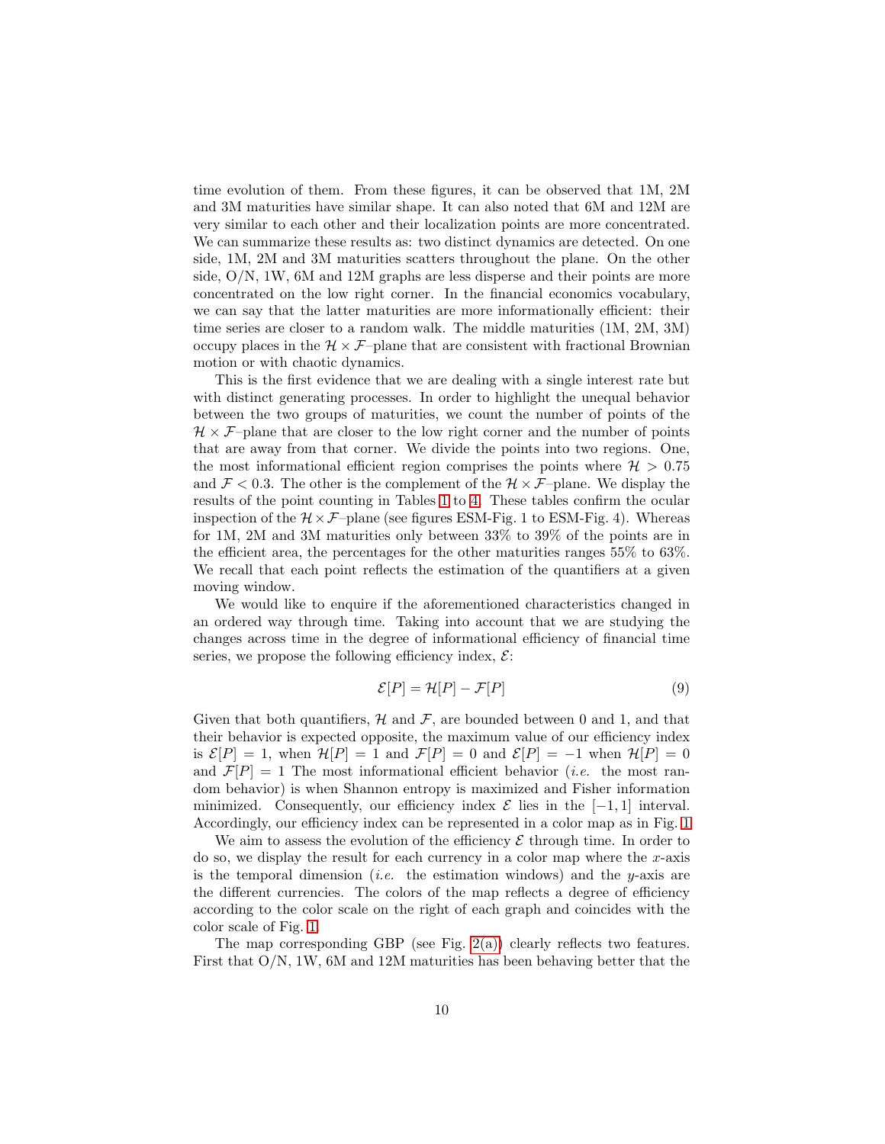time evolution of them. From these figures, it can be observed that 1M, 2M and 3M maturities have similar shape. It can also noted that 6M and 12M are very similar to each other and their localization points are more concentrated. We can summarize these results as: two distinct dynamics are detected. On one side, 1M, 2M and 3M maturities scatters throughout the plane. On the other side, O/N, 1W, 6M and 12M graphs are less disperse and their points are more concentrated on the low right corner. In the financial economics vocabulary, we can say that the latter maturities are more informationally efficient: their time series are closer to a random walk. The middle maturities (1M, 2M, 3M) occupy places in the  $\mathcal{H} \times \mathcal{F}$ –plane that are consistent with fractional Brownian motion or with chaotic dynamics.

This is the first evidence that we are dealing with a single interest rate but with distinct generating processes. In order to highlight the unequal behavior between the two groups of maturities, we count the number of points of the  $\mathcal{H} \times \mathcal{F}$ -plane that are closer to the low right corner and the number of points that are away from that corner. We divide the points into two regions. One, the most informational efficient region comprises the points where  $H > 0.75$ and  $\mathcal{F}$  < 0.3. The other is the complement of the  $\mathcal{H} \times \mathcal{F}$ -plane. We display the results of the point counting in Tables [1](#page-11-0) to [4.](#page-12-6) These tables confirm the ocular inspection of the  $H \times \mathcal{F}$ –plane (see figures ESM-Fig. 1 to ESM-Fig. 4). Whereas for 1M, 2M and 3M maturities only between 33% to 39% of the points are in the efficient area, the percentages for the other maturities ranges 55% to 63%. We recall that each point reflects the estimation of the quantifiers at a given moving window.

We would like to enquire if the aforementioned characteristics changed in an ordered way through time. Taking into account that we are studying the changes across time in the degree of informational efficiency of financial time series, we propose the following efficiency index,  $\mathcal{E}$ :

<span id="page-9-0"></span>
$$
\mathcal{E}[P] = \mathcal{H}[P] - \mathcal{F}[P] \tag{9}
$$

Given that both quantifiers,  $\mathcal{H}$  and  $\mathcal{F}$ , are bounded between 0 and 1, and that their behavior is expected opposite, the maximum value of our efficiency index is  $\mathcal{E}[P] = 1$ , when  $\mathcal{H}[P] = 1$  and  $\mathcal{F}[P] = 0$  and  $\mathcal{E}[P] = -1$  when  $\mathcal{H}[P] = 0$ and  $\mathcal{F}[P] = 1$  The most informational efficient behavior *(i.e.* the most random behavior) is when Shannon entropy is maximized and Fisher information minimized. Consequently, our efficiency index  $\mathcal E$  lies in the [−1, 1] interval. Accordingly, our efficiency index can be represented in a color map as in Fig. [1](#page-10-0)

We aim to assess the evolution of the efficiency  $\mathcal E$  through time. In order to do so, we display the result for each currency in a color map where the  $x$ -axis is the temporal dimension (*i.e.* the estimation windows) and the y-axis are the different currencies. The colors of the map reflects a degree of efficiency according to the color scale on the right of each graph and coincides with the color scale of Fig. [1.](#page-10-0)

The map corresponding GBP (see Fig. [2\(a\)\)](#page-16-0) clearly reflects two features. First that O/N, 1W, 6M and 12M maturities has been behaving better that the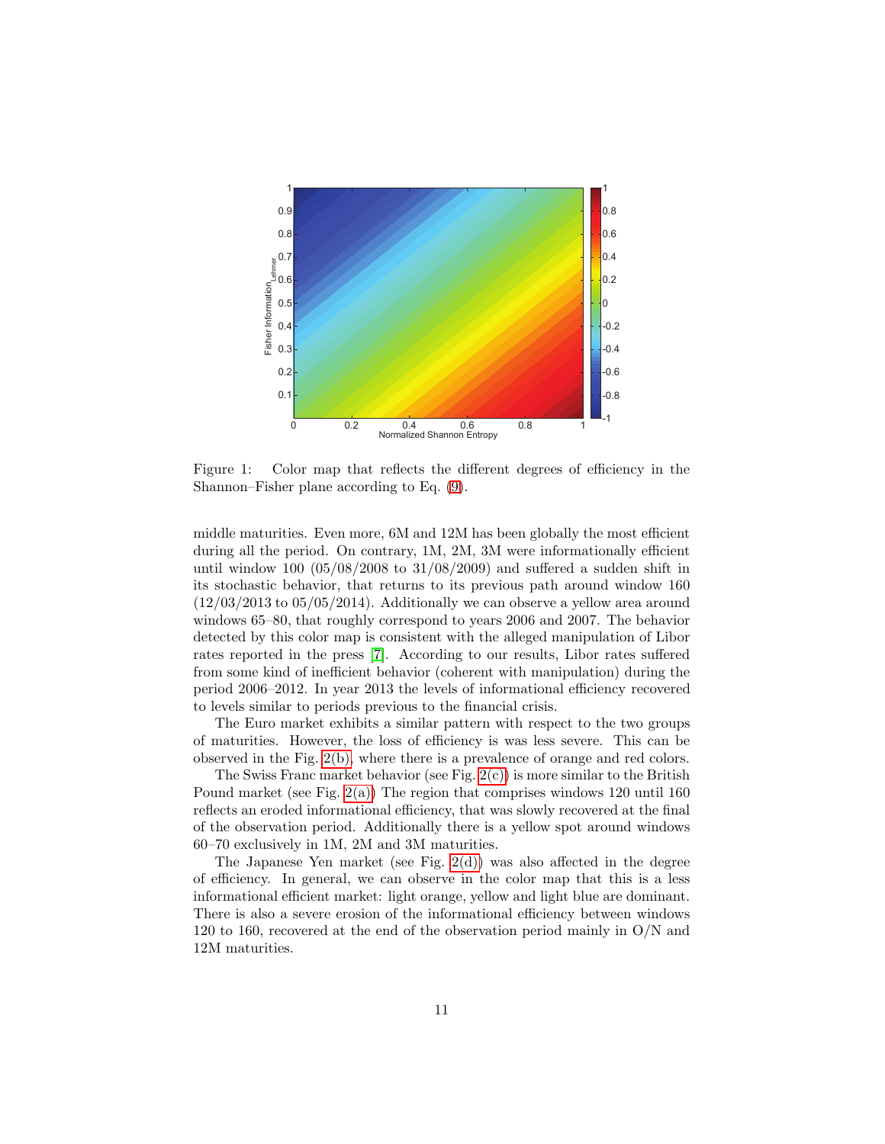

<span id="page-10-0"></span>Figure 1: Color map that reflects the different degrees of efficiency in the Shannon–Fisher plane according to Eq. [\(9\)](#page-9-0).

middle maturities. Even more, 6M and 12M has been globally the most efficient during all the period. On contrary, 1M, 2M, 3M were informationally efficient until window  $100 \left(05/08/2008 \text{ to } 31/08/2009\right)$  and suffered a sudden shift in its stochastic behavior, that returns to its previous path around window 160  $(12/03/2013$  to  $05/05/2014)$ . Additionally we can observe a yellow area around windows 65–80, that roughly correspond to years 2006 and 2007. The behavior detected by this color map is consistent with the alleged manipulation of Libor rates reported in the press [\[7\]](#page-13-1). According to our results, Libor rates suffered from some kind of inefficient behavior (coherent with manipulation) during the period 2006–2012. In year 2013 the levels of informational efficiency recovered to levels similar to periods previous to the financial crisis.

The Euro market exhibits a similar pattern with respect to the two groups of maturities. However, the loss of efficiency is was less severe. This can be observed in the Fig. [2\(b\),](#page-16-1) where there is a prevalence of orange and red colors.

The Swiss Franc market behavior (see Fig.  $2(c)$ ) is more similar to the British Pound market (see Fig.  $2(a)$ ) The region that comprises windows 120 until 160 reflects an eroded informational efficiency, that was slowly recovered at the final of the observation period. Additionally there is a yellow spot around windows 60–70 exclusively in 1M, 2M and 3M maturities.

The Japanese Yen market (see Fig.  $2(d)$ ) was also affected in the degree of efficiency. In general, we can observe in the color map that this is a less informational efficient market: light orange, yellow and light blue are dominant. There is also a severe erosion of the informational efficiency between windows 120 to 160, recovered at the end of the observation period mainly in  $O/N$  and 12M maturities.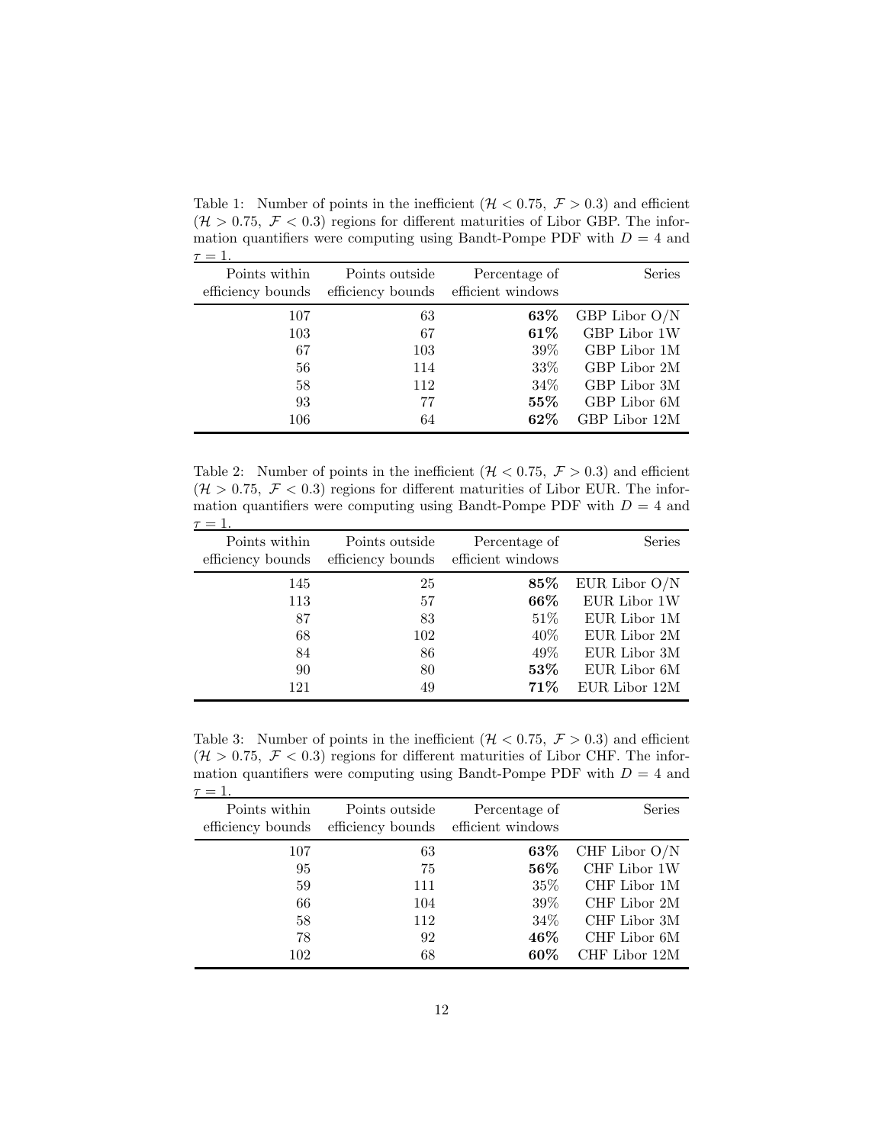<span id="page-11-0"></span>Table 1: Number of points in the inefficient  $(\mathcal{H} < 0.75, \mathcal{F} > 0.3)$  and efficient  $(\mathcal{H} > 0.75, \mathcal{F} < 0.3)$  regions for different maturities of Libor GBP. The information quantifiers were computing using Bandt-Pompe PDF with  $D = 4$  and  $\tau = 1$ .

| Points within<br>efficiency bounds | Points outside<br>efficiency bounds | Percentage of<br>efficient windows | Series          |
|------------------------------------|-------------------------------------|------------------------------------|-----------------|
| 107                                | 63                                  | 63%                                | GBP Libor $O/N$ |
| 103                                | 67                                  | $61\%$                             | GBP Libor 1W    |
| 67                                 | 103                                 | $39\%$                             | GBP Libor 1M    |
| 56                                 | 114                                 | 33%                                | GBP Libor 2M    |
| 58                                 | 112                                 | $34\%$                             | GBP Libor 3M    |
| 93                                 | 77                                  | $55\%$                             | GBP Libor 6M    |
| 106                                | 64                                  | 62%                                | GBP Libor 12M   |

Table 2: Number of points in the inefficient  $(\mathcal{H} < 0.75, \mathcal{F} > 0.3)$  and efficient  $(\mathcal{H} > 0.75, \mathcal{F} < 0.3)$  regions for different maturities of Libor EUR. The information quantifiers were computing using Bandt-Pompe PDF with  $D = 4$  and  $\tau = 1$ .

| Points within<br>efficiency bounds | Points outside<br>efficiency bounds | Percentage of<br>efficient windows | Series          |
|------------------------------------|-------------------------------------|------------------------------------|-----------------|
| 145                                | 25                                  | 85%                                | EUR Libor $O/N$ |
| 113                                | 57                                  | 66%                                | EUR Libor 1W    |
| 87                                 | 83                                  | 51\%                               | EUR Libor 1M    |
| 68                                 | 102                                 | $40\%$                             | EUR Libor 2M    |
| 84                                 | 86                                  | 49\%                               | EUR Libor 3M    |
| 90                                 | 80                                  | 53%                                | EUR Libor 6M    |
| 121                                | 49                                  | 71%                                | EUR Libor 12M   |

Table 3: Number of points in the inefficient  $(\mathcal{H} < 0.75, \mathcal{F} > 0.3)$  and efficient  $(\mathcal{H} > 0.75, \mathcal{F} < 0.3)$  regions for different maturities of Libor CHF. The information quantifiers were computing using Bandt-Pompe PDF with  $D = 4$  and  $\tau = 1$ 

| Points within<br>efficiency bounds | Points outside<br>efficiency bounds | Percentage of<br>efficient windows | Series          |
|------------------------------------|-------------------------------------|------------------------------------|-----------------|
| 107                                | 63                                  | $63\%$                             | CHF Libor $O/N$ |
| 95                                 | 75                                  | $56\%$                             | CHF Libor 1W    |
| 59                                 | 111                                 | $35\%$                             | CHF Libor 1M    |
| 66                                 | 104                                 | $39\%$                             | CHF Libor 2M    |
| 58                                 | 112                                 | $34\%$                             | CHF Libor 3M    |
| 78                                 | 92                                  | $46\%$                             | CHF Libor 6M    |
| 102                                | 68                                  | 60%                                | CHF Libor 12M   |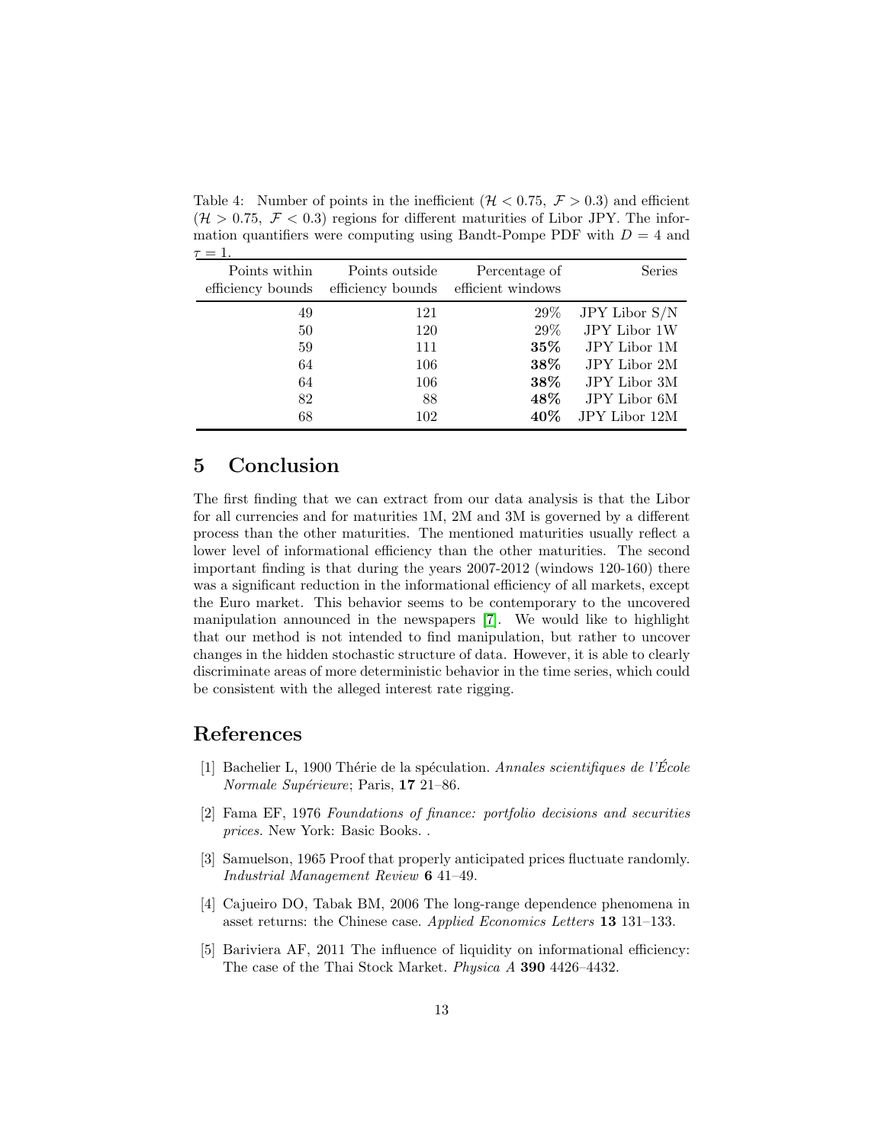<span id="page-12-6"></span> $(\mathcal{H} > 0.75, \mathcal{F} < 0.3)$  regions for different maturities of Libor JPY. The information quantifiers were computing using Bandt-Pompe PDF with  $D = 4$  and  $\tau = 1$ . Points within Points outside Percentage of Series

Table 4: Number of points in the inefficient  $(\mathcal{H} < 0.75, \mathcal{F} > 0.3)$  and efficient

| peries              | Points outside Percentage of | efficiency bounds efficiency bounds efficient windows | FOIIIUS WIUIIIII |
|---------------------|------------------------------|-------------------------------------------------------|------------------|
| JPY Libor $S/N$     | $29\%$                       | 121                                                   | 49               |
| 29% JPY Libor 1W    |                              | 120                                                   | 50               |
| 35% JPY Libor 1M    |                              | 111                                                   | 59               |
| 38% JPY Libor 2M    |                              | 106                                                   | 64               |
| 38% JPY Libor 3M    |                              | 106                                                   | 64               |
| $48\%$ JPY Libor 6M |                              | 88                                                    | 82               |
| 40% JPY Libor 12M   |                              | 102                                                   | 68               |
|                     |                              |                                                       |                  |

## <span id="page-12-5"></span>5 Conclusion

The first finding that we can extract from our data analysis is that the Libor for all currencies and for maturities 1M, 2M and 3M is governed by a different process than the other maturities. The mentioned maturities usually reflect a lower level of informational efficiency than the other maturities. The second important finding is that during the years 2007-2012 (windows 120-160) there was a significant reduction in the informational efficiency of all markets, except the Euro market. This behavior seems to be contemporary to the uncovered manipulation announced in the newspapers [\[7\]](#page-13-1). We would like to highlight that our method is not intended to find manipulation, but rather to uncover changes in the hidden stochastic structure of data. However, it is able to clearly discriminate areas of more deterministic behavior in the time series, which could be consistent with the alleged interest rate rigging.

## <span id="page-12-0"></span>References

- [1] Bachelier L, 1900 Thérie de la spéculation. Annales scientifiques de l'École Normale Supérieure; Paris, 17 21–86.
- <span id="page-12-1"></span>[2] Fama EF, 1976 Foundations of finance: portfolio decisions and securities prices. New York: Basic Books. .
- <span id="page-12-2"></span>[3] Samuelson, 1965 Proof that properly anticipated prices fluctuate randomly. Industrial Management Review 6 41–49.
- <span id="page-12-3"></span>[4] Cajueiro DO, Tabak BM, 2006 The long-range dependence phenomena in asset returns: the Chinese case. Applied Economics Letters 13 131–133.
- <span id="page-12-4"></span>[5] Bariviera AF, 2011 The influence of liquidity on informational efficiency: The case of the Thai Stock Market. Physica A 390 4426–4432.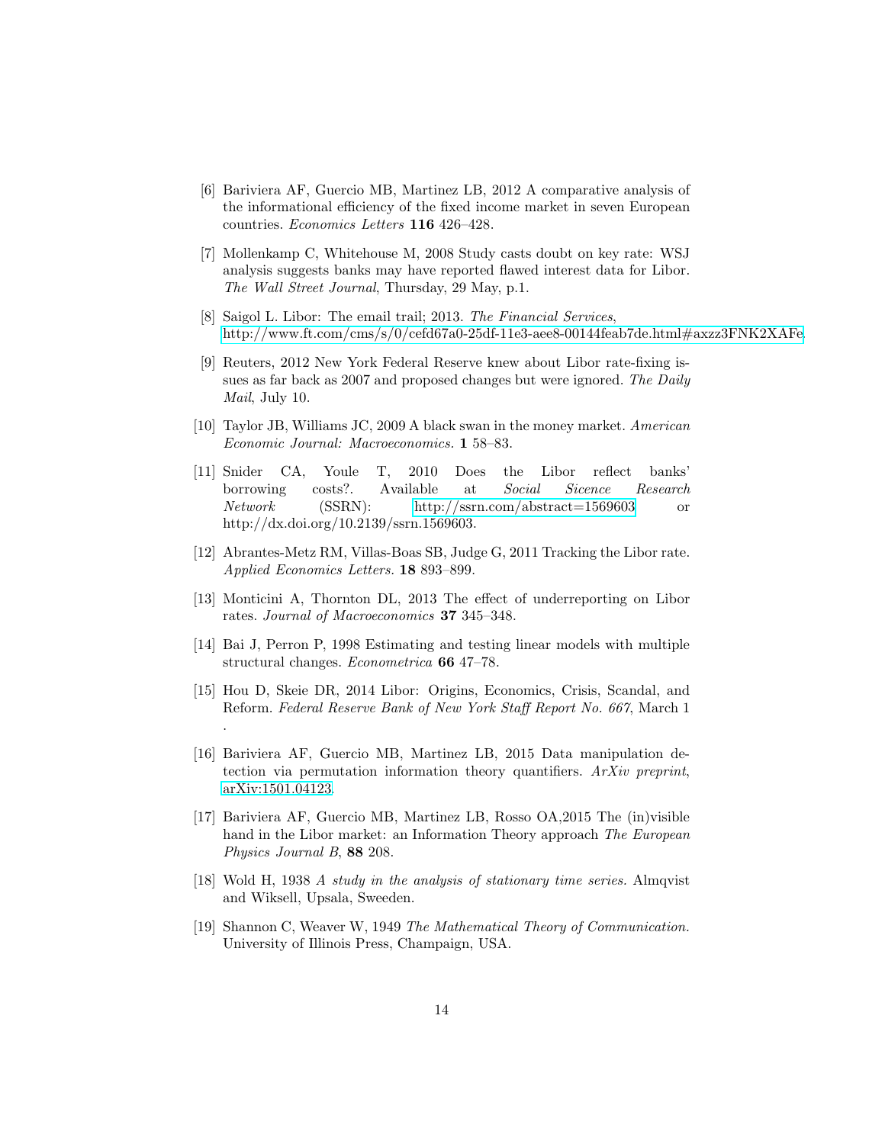- <span id="page-13-0"></span>[6] Bariviera AF, Guercio MB, Martinez LB, 2012 A comparative analysis of the informational efficiency of the fixed income market in seven European countries. Economics Letters 116 426–428.
- <span id="page-13-1"></span>[7] Mollenkamp C, Whitehouse M, 2008 Study casts doubt on key rate: WSJ analysis suggests banks may have reported flawed interest data for Libor. The Wall Street Journal, Thursday, 29 May, p.1.
- <span id="page-13-3"></span><span id="page-13-2"></span>[8] Saigol L. Libor: The email trail; 2013. The Financial Services, [http://www.ft.com/cms/s/0/cefd67a0-25df-11e3-aee8-00144feab7de.html#axzz3FNK2XAFe.](http://www.ft.com/cms/s/0/cefd67a0-25df-11e3-aee8-00144feab7de.html#axzz3FNK2XAFe)
- [9] Reuters, 2012 New York Federal Reserve knew about Libor rate-fixing issues as far back as 2007 and proposed changes but were ignored. The Daily Mail, July 10.
- <span id="page-13-5"></span><span id="page-13-4"></span>[10] Taylor JB, Williams JC, 2009 A black swan in the money market. American Economic Journal: Macroeconomics. 1 58–83.
- [11] Snider CA, Youle T, 2010 Does the Libor reflect banks' borrowing costs?. Available at Social Sicence Research Network (SSRN):<http://ssrn.com/abstract=1569603> or http://dx.doi.org/10.2139/ssrn.1569603.
- <span id="page-13-6"></span>[12] Abrantes-Metz RM, Villas-Boas SB, Judge G, 2011 Tracking the Libor rate. Applied Economics Letters. 18 893–899.
- <span id="page-13-7"></span>[13] Monticini A, Thornton DL, 2013 The effect of underreporting on Libor rates. Journal of Macroeconomics 37 345–348.
- <span id="page-13-8"></span>[14] Bai J, Perron P, 1998 Estimating and testing linear models with multiple structural changes. Econometrica 66 47–78.
- <span id="page-13-9"></span>[15] Hou D, Skeie DR, 2014 Libor: Origins, Economics, Crisis, Scandal, and Reform. Federal Reserve Bank of New York Staff Report No. 667, March 1

.

- <span id="page-13-10"></span>[16] Bariviera AF, Guercio MB, Martinez LB, 2015 Data manipulation detection via permutation information theory quantifiers. ArXiv preprint, [arXiv:1501.04123.](http://arxiv.org/abs/1501.04123)
- <span id="page-13-11"></span>[17] Bariviera AF, Guercio MB, Martinez LB, Rosso OA,2015 The (in)visible hand in the Libor market: an Information Theory approach The European Physics Journal B, 88 208.
- <span id="page-13-12"></span>[18] Wold H, 1938 A study in the analysis of stationary time series. Almqvist and Wiksell, Upsala, Sweeden.
- <span id="page-13-13"></span>[19] Shannon C, Weaver W, 1949 The Mathematical Theory of Communication. University of Illinois Press, Champaign, USA.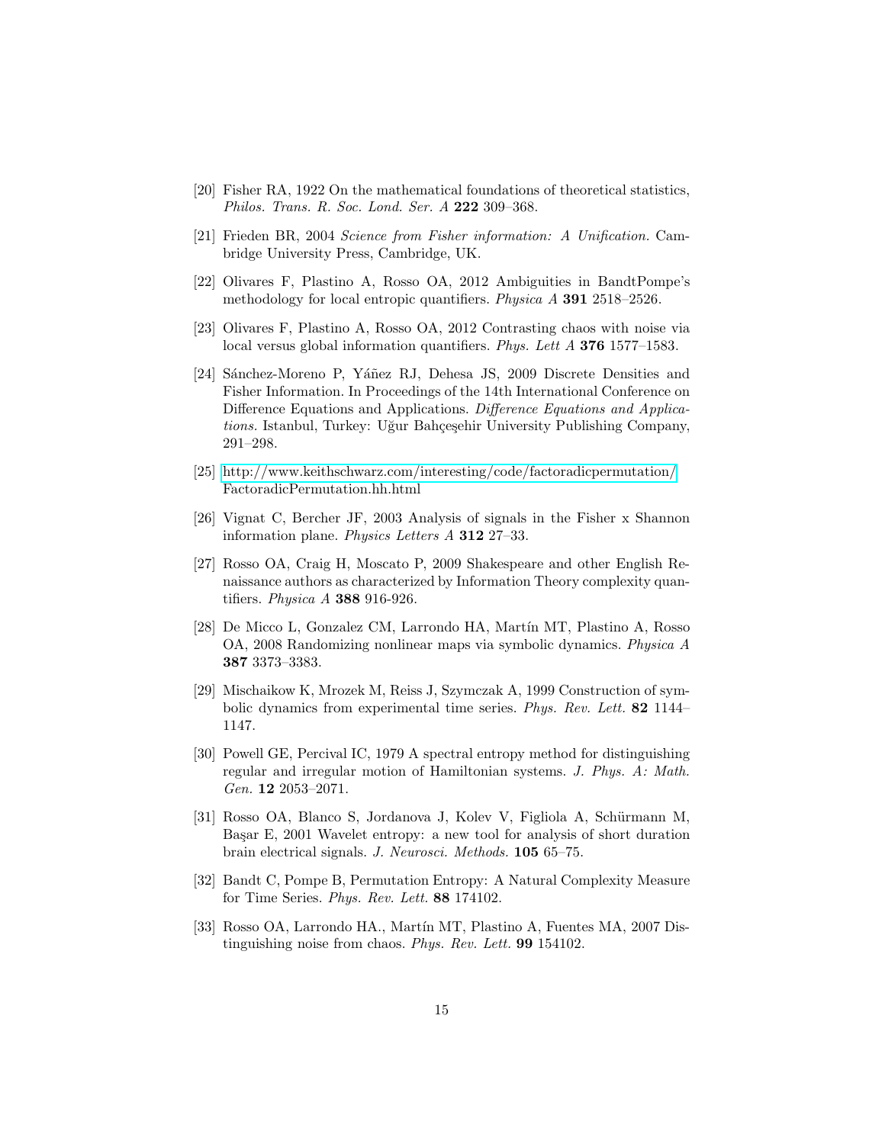- <span id="page-14-1"></span><span id="page-14-0"></span>[20] Fisher RA, 1922 On the mathematical foundations of theoretical statistics, Philos. Trans. R. Soc. Lond. Ser. A 222 309–368.
- <span id="page-14-2"></span>[21] Frieden BR, 2004 Science from Fisher information: A Unification. Cambridge University Press, Cambridge, UK.
- <span id="page-14-3"></span>[22] Olivares F, Plastino A, Rosso OA, 2012 Ambiguities in BandtPompe's methodology for local entropic quantifiers. Physica A 391 2518–2526.
- <span id="page-14-4"></span>[23] Olivares F, Plastino A, Rosso OA, 2012 Contrasting chaos with noise via local versus global information quantifiers. Phys. Lett A 376 1577–1583.
- [24] Sánchez-Moreno P, Yáñez RJ, Dehesa JS, 2009 Discrete Densities and Fisher Information. In Proceedings of the 14th International Conference on Difference Equations and Applications. Difference Equations and Applications. Istanbul, Turkey: Uğur Bahçeşehir University Publishing Company, 291–298.
- <span id="page-14-6"></span><span id="page-14-5"></span>[25]<http://www.keithschwarz.com/interesting/code/factoradicpermutation/> FactoradicPermutation.hh.html
- [26] Vignat C, Bercher JF, 2003 Analysis of signals in the Fisher x Shannon information plane. Physics Letters A 312 27–33.
- <span id="page-14-7"></span>[27] Rosso OA, Craig H, Moscato P, 2009 Shakespeare and other English Renaissance authors as characterized by Information Theory complexity quantifiers. Physica A 388 916-926.
- <span id="page-14-8"></span>[28] De Micco L, Gonzalez CM, Larrondo HA, Martín MT, Plastino A, Rosso OA, 2008 Randomizing nonlinear maps via symbolic dynamics. Physica A 387 3373–3383.
- <span id="page-14-9"></span>[29] Mischaikow K, Mrozek M, Reiss J, Szymczak A, 1999 Construction of symbolic dynamics from experimental time series. Phys. Rev. Lett. 82 1144– 1147.
- <span id="page-14-10"></span>[30] Powell GE, Percival IC, 1979 A spectral entropy method for distinguishing regular and irregular motion of Hamiltonian systems. J. Phys. A: Math. Gen. 12 2053–2071.
- <span id="page-14-11"></span>[31] Rosso OA, Blanco S, Jordanova J, Kolev V, Figliola A, Schürmann M, Başar E, 2001 Wavelet entropy: a new tool for analysis of short duration brain electrical signals. J. Neurosci. Methods. 105 65–75.
- <span id="page-14-12"></span>[32] Bandt C, Pompe B, Permutation Entropy: A Natural Complexity Measure for Time Series. Phys. Rev. Lett. 88 174102.
- <span id="page-14-13"></span>[33] Rosso OA, Larrondo HA., Martín MT, Plastino A, Fuentes MA, 2007 Distinguishing noise from chaos. Phys. Rev. Lett. **99** 154102.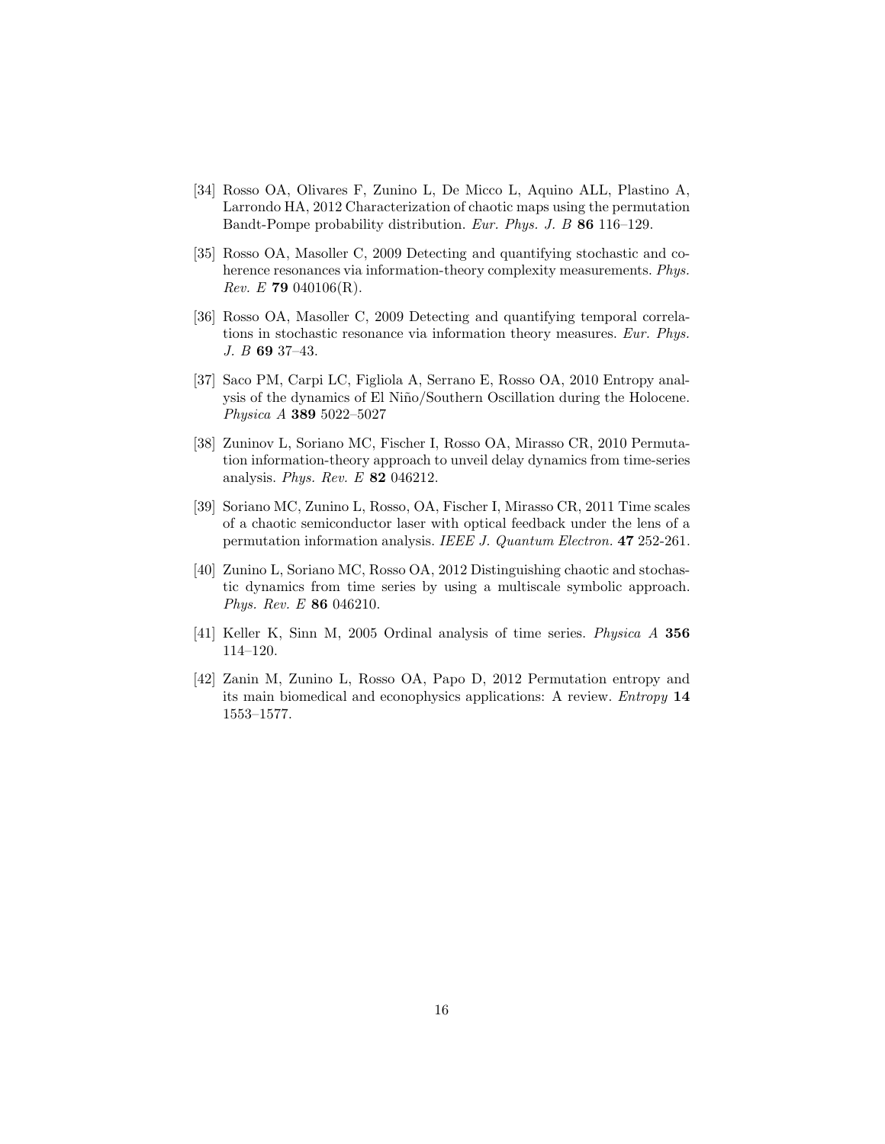- <span id="page-15-0"></span>[34] Rosso OA, Olivares F, Zunino L, De Micco L, Aquino ALL, Plastino A, Larrondo HA, 2012 Characterization of chaotic maps using the permutation Bandt-Pompe probability distribution. Eur. Phys. J. B 86 116–129.
- <span id="page-15-1"></span>[35] Rosso OA, Masoller C, 2009 Detecting and quantifying stochastic and coherence resonances via information-theory complexity measurements. Phys.  $Rev. E$  79 040106(R).
- <span id="page-15-2"></span>[36] Rosso OA, Masoller C, 2009 Detecting and quantifying temporal correlations in stochastic resonance via information theory measures. Eur. Phys. J. B 69 37–43.
- <span id="page-15-3"></span>[37] Saco PM, Carpi LC, Figliola A, Serrano E, Rosso OA, 2010 Entropy analysis of the dynamics of El Niño/Southern Oscillation during the Holocene. Physica A 389 5022–5027
- <span id="page-15-4"></span>[38] Zuninov L, Soriano MC, Fischer I, Rosso OA, Mirasso CR, 2010 Permutation information-theory approach to unveil delay dynamics from time-series analysis. Phys. Rev. E 82 046212.
- <span id="page-15-5"></span>[39] Soriano MC, Zunino L, Rosso, OA, Fischer I, Mirasso CR, 2011 Time scales of a chaotic semiconductor laser with optical feedback under the lens of a permutation information analysis. IEEE J. Quantum Electron. 47 252-261.
- <span id="page-15-6"></span>[40] Zunino L, Soriano MC, Rosso OA, 2012 Distinguishing chaotic and stochastic dynamics from time series by using a multiscale symbolic approach. Phys. Rev. E 86 046210.
- <span id="page-15-8"></span><span id="page-15-7"></span>[41] Keller K, Sinn M, 2005 Ordinal analysis of time series. Physica A 356 114–120.
- [42] Zanin M, Zunino L, Rosso OA, Papo D, 2012 Permutation entropy and its main biomedical and econophysics applications: A review. Entropy 14 1553–1577.